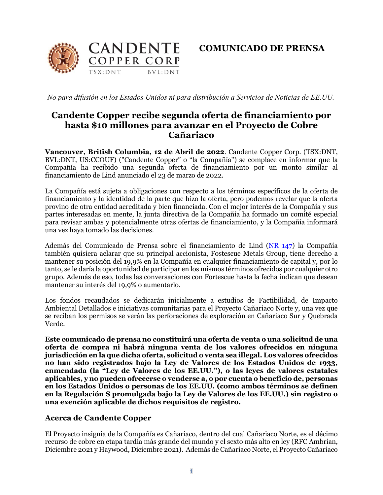

**COMUNICADO DE PRENSA**

*No para difusión en los Estados Unidos ni para distribución a Servicios de Noticias de EE.UU.*

## **Candente Copper recibe segunda oferta de financiamiento por hasta \$10 millones para avanzar en el Proyecto de Cobre Cañariaco**

**Vancouver, British Columbia, 12 de Abril de 2022**. Candente Copper Corp. (TSX:DNT, BVL:DNT, US:CCOUF) ("Candente Copper" o "la Compañía") se complace en informar que la Compañía ha recibido una segunda oferta de financiamiento por un monto similar al financiamiento de Lind anunciado el 23 de marzo de 2022.

La Compañía está sujeta a obligaciones con respecto a los términos específicos de la oferta de financiamiento y la identidad de la parte que hizo la oferta, pero podemos revelar que la oferta provino de otra entidad acreditada y bien financiada. Con el mejor interés de la Compañía y sus partes interesadas en mente, la junta directiva de la Compañía ha formado un comité especial para revisar ambas y potencialmente otras ofertas de financiamiento, y la Compañía informará una vez haya tomado las decisiones.

Además del Comunicado de Prensa sobre el financiamiento de Lind [\(NR 147\)](https://candentecopper.com/news-releases/news-releases/2022/candente-copper-agrees-to-terms-for-financing-of-up-to-10-million-to-advance-the-canariaco-copper-project/) la Compañía también quisiera aclarar que su principal accionista, Fostescue Metals Group, tiene derecho a mantener su posición del 19,9% en la Compañía en cualquier financiamiento de capital y, por lo tanto, se le daría la oportunidad de participar en los mismos términos ofrecidos por cualquier otro grupo. Además de eso, todas las conversaciones con Fortescue hasta la fecha indican que desean mantener su interés del 19,9% o aumentarlo.

Los fondos recaudados se dedicarán inicialmente a estudios de Factibilidad, de Impacto Ambiental Detallados e iniciativas comunitarias para el Proyecto Cañariaco Norte y, una vez que se reciban los permisos se verán las perforaciones de exploración en Cañariaco Sur y Quebrada Verde.

**Este comunicado de prensa no constituirá una oferta de venta o una solicitud de una oferta de compra ni habrá ninguna venta de los valores ofrecidos en ninguna jurisdicción en la que dicha oferta, solicitud o venta sea illegal. Los valores ofrecidos no han sido registrados bajo la Ley de Valores de los Estados Unidos de 1933, enmendada (la "Ley de Valores de los EE.UU."), o las leyes de valores estatales aplicables, y no pueden ofrecerse o venderse a, o por cuenta o beneficio de, personas en los Estados Unidos o personas de los EE.UU. (como ambos términos se definen en la Regulación S promulgada bajo la Ley de Valores de los EE.UU.) sin registro o una exención aplicable de dichos requisitos de registro.** 

## **Acerca de Candente Copper**

El Proyecto insignia de la Compañía es Cañariaco, dentro del cual Cañariaco Norte, es el décimo recurso de cobre en etapa tardía más grande del mundo y el sexto más alto en ley (RFC Ambrian, Diciembre 2021 y Haywood, Diciembre 2021). Además de Cañariaco Norte, el Proyecto Cañariaco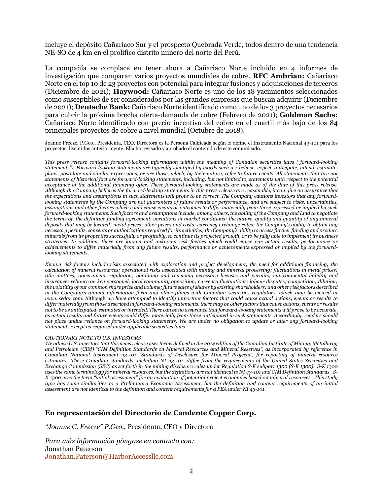incluye el depósito Cañariaco Sur y el prospecto Quebrada Verde, todos dentro de una tendencia NE-SO de 4 km en el prolífico distrito minero del norte del Perú.

La compañía se complace en tener ahora a Cañariaco Norte incluido en 4 informes de investigación que comparan varios proyectos mundiales de cobre. **RFC Ambrian:** Cañariaco Norte en el top 10 de 23 proyectos con potencial para integrar fusiones y adquisiciones de terceros (Diciembre de 2021); **Haywood:** Cañariaco Norte es uno de los 18 yacimientos seleccionados como susceptibles de ser considerados por las grandes empresas que buscan adquirir (Diciembre de 2021); **Deutsche Bank:** Cañariaco Norte identificado como uno de los 3 proyectos necesarios para cubrir la próxima brecha oferta-demanda de cobre (Febrero de 2021); **Goldman Sachs:** Cañariaco Norte identificado con precio incentivo del cobre en el cuartil más bajo de los 84 principales proyectos de cobre a nivel mundial (Octubre de 2018).

Joanne Freeze, P.Geo., Presidenta, CEO, Directora es la Persona Calificada según lo define el Instrumento Nacional 43-101 para los proyectos discutidos anteriormente. Ella ha revisado y aprobado el contenido de este comunicado.

*This press release contains forward-looking information within the meaning of Canadian securities laws ("forward-looking statements"). Forward-looking statements are typically identified by words such as: believe, expect, anticipate, intend, estimate, plans, postulate and similar expressions, or are those, which, by their nature, refer to future events. All statements that are not statements of historical fact are forward-looking statements, including, but not limited to, statements with respect to the potential acceptance of the additional financing offer. These forward-looking statements are made as of the date of this press release. Although the Company believes the forward-looking statements in this press release are reasonable, it can give no assurance that the expectations and assumptions in such statements will prove to be correct. The Company cautions investors that any forwardlooking statements by the Company are not guarantees of future results or performance, and are subject to risks, uncertainties, assumptions and other factors which could cause events or outcomes to differ materially from those expressed or implied by such forward-looking statements. Such factors and assumptions include, among others, the ability of the Company and Lind to negotiate the terms of the definitive funding agreement, variations in market conditions; the nature, quality and quantity of any mineral deposits that may be located; metal prices; other prices and costs; currency exchange rates; the Company's ability to obtain any necessary permits, consents or authorizations required for its activities; the Company's ability to access further funding and produce minerals from its properties successfully or profitably, to continue its projected growth, or to be fully able to implement its business strategies. In addition, there are known and unknown risk factors which could cause our actual results, performance or achievements to differ materially from any future results, performance or achievements expressed or implied by the forwardlooking statements.*

*Known risk factors include risks associated with exploration and project development; the need for additional financing; the calculation of mineral resources; operational risks associated with mining and mineral processing; fluctuations in metal prices; title matters; government regulation; obtaining and renewing necessary licenses and permits; environmental liability and insurance; reliance on key personnel; local community opposition; currency fluctuations; labour disputes; competition; dilution; the volatility of our common share price and volume; future sales of shares by existing shareholders; and other risk factors described in the Company's annual information form and other filings with Canadian securities regulators, which may be viewed at www.sedar.com.* Although *we have attempted to identify important factors that could cause actual actions, events or results to differ materially from those described in forward-looking statements, there may be other factors that cause actions, events or results not to be as anticipated, estimated or intended. There can be no assurance that forward-looking statements will prove to be accurate, as actual results and future events could differ materially from those anticipated in such statements. Accordingly, readers should not place undue reliance on forward-looking statements. We are under no obligation to update or alter any forward-looking statements except as required under applicable securities laws.*

## *CAUTIONARY NOTE TO U.S. INVESTORS*

*We advise U.S. investors that this news release uses terms defined in the 2014 edition of the Canadian Institute of Mining, Metallurgy and Petroleum (CIM) "CIM Definition Standards on Mineral Resources and Mineral Reserves", as incorporated by reference in Canadian National Instrument 43-101 "Standards of Disclosure for Mineral Projects", for reporting of mineral resource estimates. These Canadian standards, including NI 43-101, differ from the requirements of the United States Securities and Exchange Commission (SEC) as set forth in the mining disclosure rules under Regulation S-K subpart 1300 (S-K 1300). S-K 1300 uses the same terminology for mineral resources, but the definitions are not identical to NI 43-101 and CIM Definition Standards. S-K 1300 uses the term "initial assessment" for an evaluation of potential project economics based on mineral resources. This study type has some similarities to a Preliminary Economic Assessment, but the definition and content requirements of an initial assessment are not identical to the definition and content requirements for a PEA under NI 43-101.*

## **En representación del Directorio de Candente Copper Corp.**

*"Joanne C. Freeze" P.Geo.,* Presidenta, CEO y Directora

*Para más información póngase en contacto con:* Jonathan Paterson [Jonathan.Paterson@HarborAccessllc.com](mailto:Jonathan.Paterson@HarborAccessllc.com)